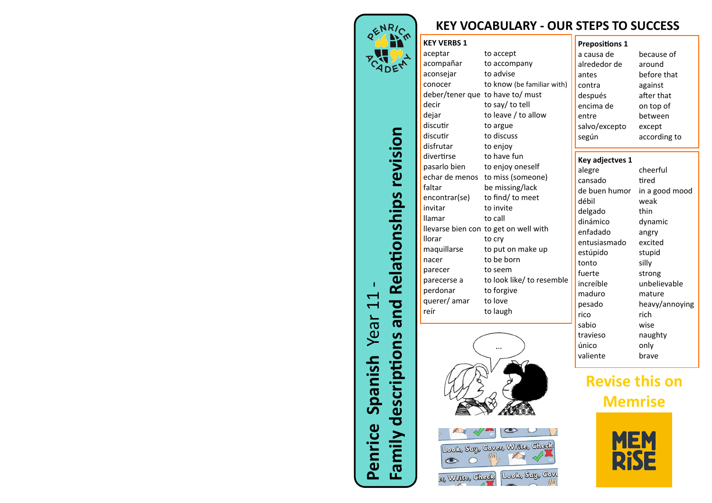

**Penrice Spanish** Year 11

Penrice

Spanish Year 11

**Family descriptions and Relationships revision**

Family descriptions and Relationships revision

## **KEY VOCABULARY - OUR STEPS TO SUCCESS**

## **KEY VERBS 1**

| aceptar        | to accept                             |
|----------------|---------------------------------------|
| acompañar      | to accompany                          |
| aconsejar      | to advise                             |
| conocer        | to know (be familiar with)            |
|                | deber/tener que to have to/must       |
| decir          | to say/ to tell                       |
| dejar          | to leave / to allow                   |
| discutir       | to argue                              |
| discutir       | to discuss                            |
| disfrutar      | to enjoy                              |
| divertirse     | to have fun                           |
| pasarlo bien   | to enjoy oneself                      |
| echar de menos | to miss (someone)                     |
| faltar         | be missing/lack                       |
| encontrar(se)  | to find/ to meet                      |
| invitar        | to invite                             |
| llamar         | to call                               |
|                | llevarse bien con to get on well with |
| llorar         | to cry                                |
| maquillarse    | to put on make up                     |
| nacer          | to be born                            |
| parecer        | to seem                               |
| parecerse a    | to look like/ to resemble             |
| perdonar       | to forgive                            |
| querer/amar    | to love                               |
| reír           | to laugh                              |
|                |                                       |



| ook, Say, Cover, Write, Check |  |
|-------------------------------|--|
| Writes, Check Look, Say, Cove |  |

303

| <b>Prepositions 1</b> |              |
|-----------------------|--------------|
| a causa de            | because of   |
| alrededor de          | around       |
| antes                 | before that  |
| contra                | against      |
| después               | after that   |
| encima de             | on top of    |
| entre                 | between      |
| salvo/excepto         | except       |
| según                 | according to |
|                       |              |
| Key adjectves 1       |              |

| <b>Key adjectves 1</b> |                |
|------------------------|----------------|
| alegre                 | cheerful       |
| cansado                | tired          |
| de buen humor          | in a good mood |
| débil                  | weak           |
| delgado                | thin           |
| dinámico               | dynamic        |
| enfadado               | angry          |
| entusiasmado           | excited        |
| estúpido               | stupid         |
| tonto                  | silly          |
| fuerte                 | strong         |
| increíble              | unbelievable   |
| maduro                 | mature         |
| pesado                 | heavy/annoying |
| rico                   | rich           |
| sabio                  | wise           |
| travieso               | naughty        |
| único                  | only           |
| valiente               | brave          |
|                        |                |

## **Revise this on Memrise**

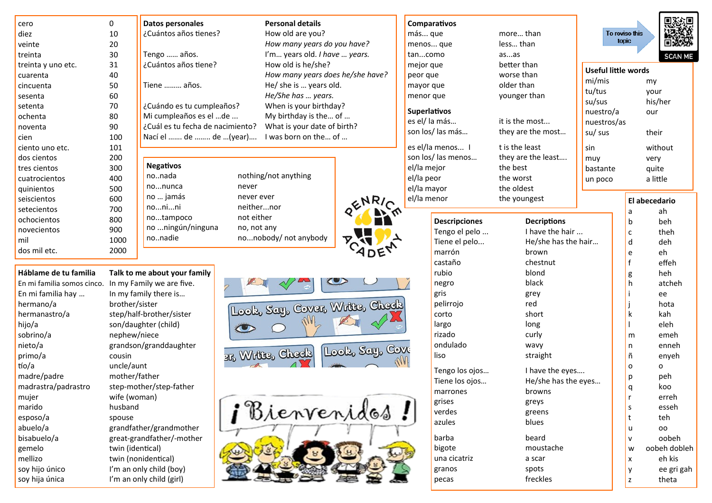| cero                       | 0                | <b>Datos personales</b>          | <b>Personal details</b>        |                                  | Comparativos         |                     |                            |                                   |
|----------------------------|------------------|----------------------------------|--------------------------------|----------------------------------|----------------------|---------------------|----------------------------|-----------------------------------|
| diez                       | 10               | ¿Cuántos años tienes?            | How old are you?               |                                  | más que              | more than           |                            | To revise this                    |
| veinte                     | 20               |                                  | How many years do you have?    |                                  | menos que            | less than           |                            | topic                             |
| treinta                    | 30               | Tengo  años.                     | I'm years old. I have  years.  |                                  | tancomo              | asas                |                            |                                   |
| treinta y uno etc.         | 31               | ¿Cuántos años tiene?             | How old is he/she?             |                                  | mejor que            | better than         | <b>Useful little words</b> |                                   |
| cuarenta                   | 40               |                                  |                                | How many years does he/she have? | peor que             | worse than          | mi/mis                     |                                   |
| cincuenta                  | 50               | Tiene  años.                     | He/ she is  years old.         |                                  | mayor que            | older than          | tu/tus                     | m                                 |
| sesenta                    | 60               |                                  | He/She has  years.             |                                  | menor que            | younger than        |                            |                                   |
| setenta                    | 70               | ¿Cuándo es tu cumpleaños?        | When is your birthday?         |                                  | Superlativos         |                     | su/sus                     | h                                 |
| ochenta                    | 80               | Mi cumpleaños es el de           | My birthday is the of          |                                  | es el/ la más        | it is the most      | nuestro/a                  | $\circ$                           |
| noventa                    | 90               | ¿Cuál es tu fecha de nacimiento? | What is your date of birth?    |                                  | son los/las más      | they are the most   | nuestros/as                |                                   |
| cien                       | 100              | Nací el  de  de (year)           | I was born on the of           |                                  |                      |                     | su/ sus                    | tł                                |
| ciento uno etc.            | 101              |                                  |                                |                                  | es el/la menos I     | t is the least      | sin                        | W                                 |
| dos cientos                | 200              |                                  |                                |                                  | son los/ las menos   | they are the least  | muy                        | V                                 |
| tres cientos               | 300              | <b>Negativos</b>                 |                                |                                  | el/la mejor          | the best            | bastante                   | q                                 |
| cuatrocientos              | 400              | nonada                           | nothing/not anything           |                                  | el/la peor           | the worst           | un poco                    | a                                 |
| quinientos                 | 500              | nonunca                          | never                          |                                  | el/la mayor          | the oldest          |                            |                                   |
| seiscientos                | 600              | no  jamás                        | never ever                     |                                  | el/la menor          | the youngest        |                            | El abed                           |
| setecientos                | 700              | nonini                           | neithernor                     |                                  |                      |                     |                            | a                                 |
| ochocientos                | 800              | notampoco                        | not either                     |                                  | <b>Descripciones</b> | <b>Decriptions</b>  |                            | b                                 |
| novecientos                | 900              | no ningún/ninguna                | no, not any                    |                                  | Tengo el pelo        | I have the hair     |                            | $\mathsf{C}$                      |
| mil                        | 1000             | nonadie                          | nonobody/not anybody           |                                  | Tiene el pelo        | He/she has the hair |                            | d                                 |
| dos mil etc.               | 2000             |                                  |                                |                                  | marrón               | brown               |                            | e                                 |
|                            |                  |                                  |                                |                                  | castaño              | chestnut            |                            | $\mathbf f$                       |
| Háblame de tu familia      |                  | Talk to me about your family     |                                |                                  | rubio                | blond               |                            | g                                 |
| En mi familia somos cinco. |                  | In my Family we are five.        |                                |                                  | negro                | black               |                            | h                                 |
| En mi familia hay          |                  | In my family there is            |                                |                                  | gris                 | grey                |                            |                                   |
| hermano/a                  | brother/sister   |                                  |                                |                                  | pelirrojo            | red                 |                            |                                   |
| hermanastro/a              |                  | step/half-brother/sister         | Look, Say, Cover, Write, Check |                                  | corto                | short               |                            | k                                 |
| hijo/a                     |                  | son/daughter (child)             |                                |                                  | largo                | long                |                            |                                   |
| sobrino/a                  | nephew/niece     |                                  |                                |                                  | rizado               | curly               |                            | m                                 |
| nieto/a                    |                  | grandson/granddaughter           |                                |                                  | ondulado             | wavy                |                            | n                                 |
| primo/a                    | cousin           |                                  | <sup>317</sup> Write, Check    | Look, Say, Cove                  | liso                 | straight            |                            | ñ                                 |
| tío/a                      | uncle/aunt       |                                  |                                |                                  |                      |                     |                            | $\circ$                           |
| madre/padre                | mother/father    |                                  |                                |                                  | Tengo los ojos       | I have the eyes     |                            | p                                 |
| madrastra/padrastro        |                  | step-mother/step-father          |                                |                                  | Tiene los ojos       | He/she has the eyes |                            | $\alpha$                          |
| mujer                      | wife (woman)     |                                  |                                |                                  | marrones             | browns              |                            | r                                 |
|                            |                  |                                  |                                |                                  | grises               | greys               |                            | s                                 |
|                            |                  |                                  |                                |                                  |                      |                     |                            |                                   |
|                            | husband          |                                  |                                |                                  | verdes               | greens              |                            |                                   |
| marido<br>esposo/a         | spouse           |                                  | Bienvenidos                    |                                  | azules               | blues               |                            | t                                 |
| abuelo/a                   |                  | grandfather/grandmother          |                                |                                  |                      |                     |                            | u                                 |
| bisabuelo/a<br>gemelo      | twin (identical) | great-grandfather/-mother        |                                |                                  | barba<br>bigote      | beard<br>moustache  |                            | $\mathsf{v}$<br>W<br>$\mathbf{O}$ |

**SCAN ME** 

my your his/her our

their without very quite a little

abecedario ah beh theh deh eh effeh heh atcheh ee hota kah eleh emeh

> enneh enyeh  $\circ$ peh koo erreh esseh teh  $00$ oobeh oobeh dobleh

> > eh kis

theta

ee gri gah

 $|y|$ 

 $\vert z \vert$ 

spots

freckles

granos

pecas

twin (nonidentical) I'm an only child (boy) I'm an only child (girl)

soy hijo único

soy hija única